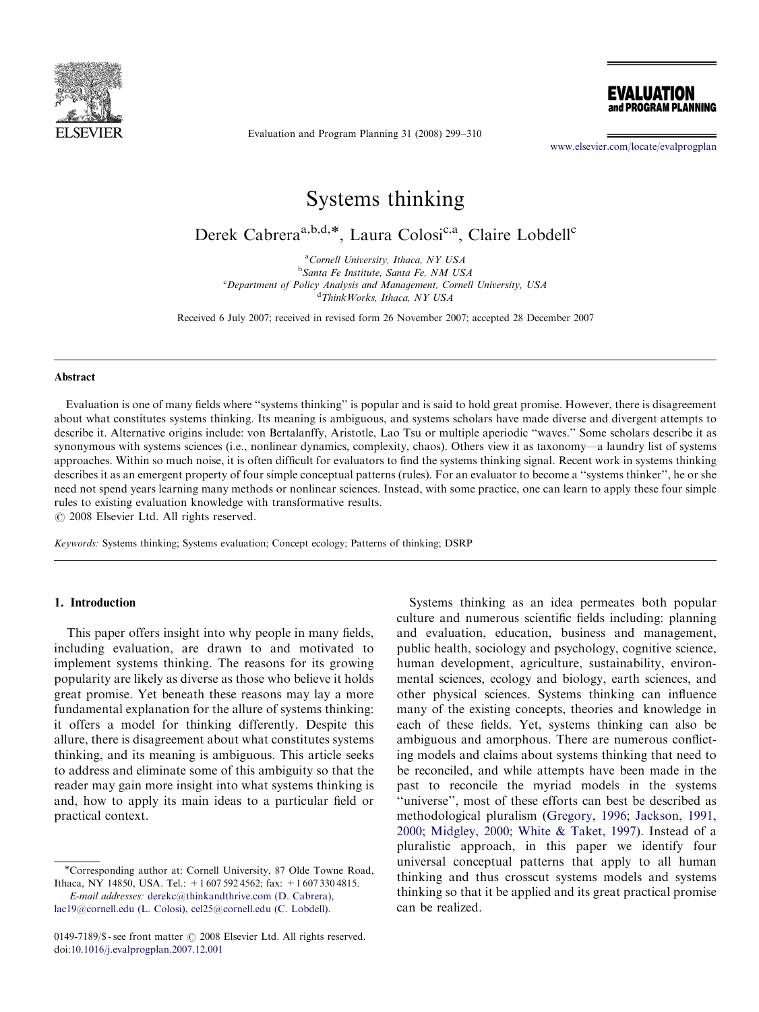

EVALUATION and PROGRAM PLANNING

Evaluation and Program Planning 31 (2008) 299–310

<www.elsevier.com/locate/evalprogplan>

# Systems thinking

Derek Cabrera<sup>a,b,d,\*</sup>, Laura Colosi<sup>c,a</sup>, Claire Lobdell<sup>c</sup>

<sup>a</sup>Cornell University, Ithaca, NY USA <sup>b</sup>Santa Fe Institute, Santa Fe, NM USA <sup>c</sup>Department of Policy Analysis and Management, Cornell University, USA d ThinkWorks, Ithaca, NY USA

Received 6 July 2007; received in revised form 26 November 2007; accepted 28 December 2007

#### Abstract

Evaluation is one of many fields where ''systems thinking'' is popular and is said to hold great promise. However, there is disagreement about what constitutes systems thinking. Its meaning is ambiguous, and systems scholars have made diverse and divergent attempts to describe it. Alternative origins include: von Bertalanffy, Aristotle, Lao Tsu or multiple aperiodic ''waves.'' Some scholars describe it as synonymous with systems sciences (i.e., nonlinear dynamics, complexity, chaos). Others view it as taxonomy—a laundry list of systems approaches. Within so much noise, it is often difficult for evaluators to find the systems thinking signal. Recent work in systems thinking describes it as an emergent property of four simple conceptual patterns (rules). For an evaluator to become a ''systems thinker'', he or she need not spend years learning many methods or nonlinear sciences. Instead, with some practice, one can learn to apply these four simple rules to existing evaluation knowledge with transformative results.

 $C$  2008 Elsevier Ltd. All rights reserved.

Keywords: Systems thinking; Systems evaluation; Concept ecology; Patterns of thinking; DSRP

# 1. Introduction

This paper offers insight into why people in many fields, including evaluation, are drawn to and motivated to implement systems thinking. The reasons for its growing popularity are likely as diverse as those who believe it holds great promise. Yet beneath these reasons may lay a more fundamental explanation for the allure of systems thinking: it offers a model for thinking differently. Despite this allure, there is disagreement about what constitutes systems thinking, and its meaning is ambiguous. This article seeks to address and eliminate some of this ambiguity so that the reader may gain more insight into what systems thinking is and, how to apply its main ideas to a particular field or practical context.

Systems thinking as an idea permeates both popular culture and numerous scientific fields including: planning and evaluation, education, business and management, public health, sociology and psychology, cognitive science, human development, agriculture, sustainability, environmental sciences, ecology and biology, earth sciences, and other physical sciences. Systems thinking can influence many of the existing concepts, theories and knowledge in each of these fields. Yet, systems thinking can also be ambiguous and amorphous. There are numerous conflicting models and claims about systems thinking that need to be reconciled, and while attempts have been made in the past to reconcile the myriad models in the systems ''universe'', most of these efforts can best be described as methodological pluralism [\(Gregory, 1996;](#page-10-0) [Jackson, 1991,](#page-10-0) [2000](#page-10-0); [Midgley, 2000;](#page-10-0) [White](#page-11-0) & [Taket, 1997](#page-11-0)). Instead of a pluralistic approach, in this paper we identify four universal conceptual patterns that apply to all human thinking and thus crosscut systems models and systems thinking so that it be applied and its great practical promise can be realized.

<sup>\*</sup>Corresponding author at: Cornell University, 87 Olde Towne Road, Ithaca, NY 14850, USA. Tel.: +1 607 592 4562; fax: +1 607 330 4815.

E-mail addresses: [derekc@thinkandthrive.com \(D. Cabrera\),](mailto:derekc@thinkandthrive.com) [lac19@cornell.edu \(L. Colosi\)](mailto:lac19@cornell.edu), [cel25@cornell.edu \(C. Lobdell\)](mailto:cel25@cornell.edu).

<sup>0149-7189/\$ -</sup> see front matter  $\odot$  2008 Elsevier Ltd. All rights reserved. doi:[10.1016/j.evalprogplan.2007.12.001](dx.doi.org/10.1016/j.evalprogplan.2007.12.001)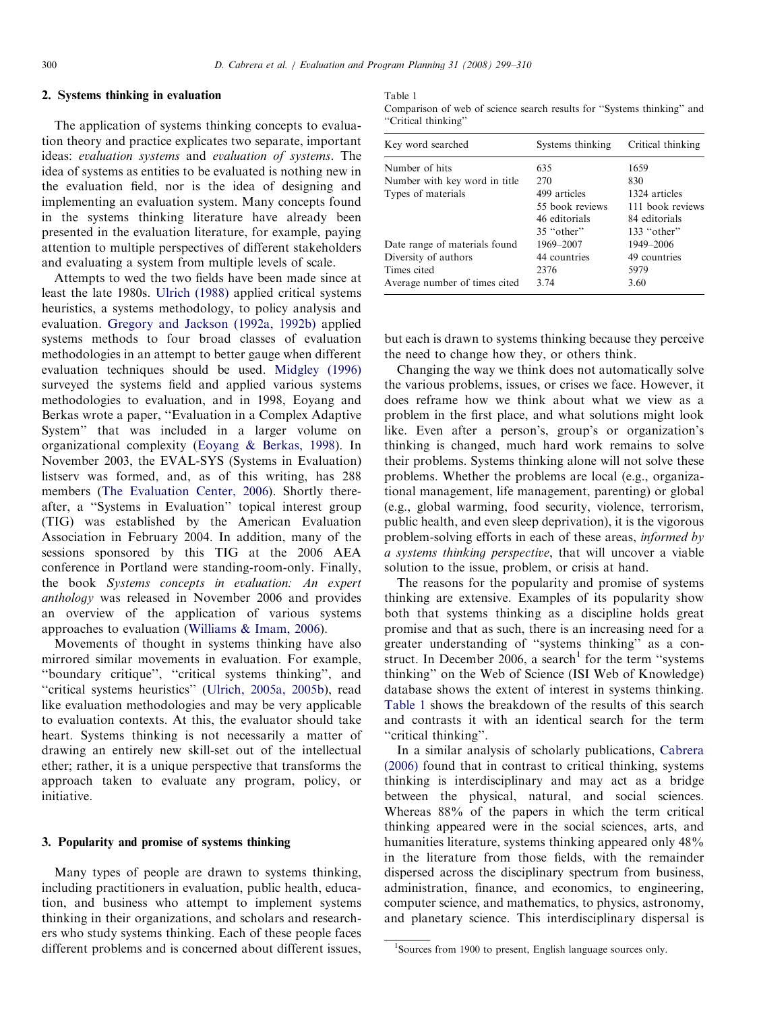### 2. Systems thinking in evaluation

The application of systems thinking concepts to evaluation theory and practice explicates two separate, important ideas: evaluation systems and evaluation of systems. The idea of systems as entities to be evaluated is nothing new in the evaluation field, nor is the idea of designing and implementing an evaluation system. Many concepts found in the systems thinking literature have already been presented in the evaluation literature, for example, paying attention to multiple perspectives of different stakeholders and evaluating a system from multiple levels of scale.

Attempts to wed the two fields have been made since at least the late 1980s. [Ulrich \(1988\)](#page-11-0) applied critical systems heuristics, a systems methodology, to policy analysis and evaluation. [Gregory and Jackson \(1992a, 1992b\)](#page-10-0) applied systems methods to four broad classes of evaluation methodologies in an attempt to better gauge when different evaluation techniques should be used. [Midgley \(1996\)](#page-10-0) surveyed the systems field and applied various systems methodologies to evaluation, and in 1998, Eoyang and Berkas wrote a paper, ''Evaluation in a Complex Adaptive System'' that was included in a larger volume on organizational complexity ([Eoyang & Berkas, 1998](#page-10-0)). In November 2003, the EVAL-SYS (Systems in Evaluation) listserv was formed, and, as of this writing, has 288 members ([The Evaluation Center, 2006\)](#page-11-0). Shortly thereafter, a ''Systems in Evaluation'' topical interest group (TIG) was established by the American Evaluation Association in February 2004. In addition, many of the sessions sponsored by this TIG at the 2006 AEA conference in Portland were standing-room-only. Finally, the book Systems concepts in evaluation: An expert anthology was released in November 2006 and provides an overview of the application of various systems approaches to evaluation ([Williams & Imam, 2006](#page-11-0)).

Movements of thought in systems thinking have also mirrored similar movements in evaluation. For example, ''boundary critique'', ''critical systems thinking'', and ''critical systems heuristics'' [\(Ulrich, 2005a, 2005b](#page-11-0)), read like evaluation methodologies and may be very applicable to evaluation contexts. At this, the evaluator should take heart. Systems thinking is not necessarily a matter of drawing an entirely new skill-set out of the intellectual ether; rather, it is a unique perspective that transforms the approach taken to evaluate any program, policy, or initiative.

#### 3. Popularity and promise of systems thinking

Many types of people are drawn to systems thinking, including practitioners in evaluation, public health, education, and business who attempt to implement systems thinking in their organizations, and scholars and researchers who study systems thinking. Each of these people faces different problems and is concerned about different issues,

Table 1 Comparison of web of science search results for ''Systems thinking'' and ''Critical thinking''

| Key word searched             | Systems thinking | Critical thinking |
|-------------------------------|------------------|-------------------|
| Number of hits                | 635              | 1659              |
| Number with key word in title | 270              | 830               |
| Types of materials            | 499 articles     | 1324 articles     |
|                               | 55 book reviews  | 111 book reviews  |
|                               | 46 editorials    | 84 editorials     |
|                               | 35 "other"       | $133$ "other"     |
| Date range of materials found | 1969-2007        | 1949-2006         |
| Diversity of authors          | 44 countries     | 49 countries      |
| Times cited                   | 2376             | 5979              |
| Average number of times cited | 3.74             | 3.60              |

but each is drawn to systems thinking because they perceive the need to change how they, or others think.

Changing the way we think does not automatically solve the various problems, issues, or crises we face. However, it does reframe how we think about what we view as a problem in the first place, and what solutions might look like. Even after a person's, group's or organization's thinking is changed, much hard work remains to solve their problems. Systems thinking alone will not solve these problems. Whether the problems are local (e.g., organizational management, life management, parenting) or global (e.g., global warming, food security, violence, terrorism, public health, and even sleep deprivation), it is the vigorous problem-solving efforts in each of these areas, informed by a systems thinking perspective, that will uncover a viable solution to the issue, problem, or crisis at hand.

The reasons for the popularity and promise of systems thinking are extensive. Examples of its popularity show both that systems thinking as a discipline holds great promise and that as such, there is an increasing need for a greater understanding of ''systems thinking'' as a construct. In December 2006, a search<sup>1</sup> for the term "systems" thinking'' on the Web of Science (ISI Web of Knowledge) database shows the extent of interest in systems thinking. Table 1 shows the breakdown of the results of this search and contrasts it with an identical search for the term ''critical thinking''.

In a similar analysis of scholarly publications, [Cabrera](#page-10-0) [\(2006\)](#page-10-0) found that in contrast to critical thinking, systems thinking is interdisciplinary and may act as a bridge between the physical, natural, and social sciences. Whereas 88% of the papers in which the term critical thinking appeared were in the social sciences, arts, and humanities literature, systems thinking appeared only 48% in the literature from those fields, with the remainder dispersed across the disciplinary spectrum from business, administration, finance, and economics, to engineering, computer science, and mathematics, to physics, astronomy, and planetary science. This interdisciplinary dispersal is

<sup>&</sup>lt;sup>1</sup>Sources from 1900 to present, English language sources only.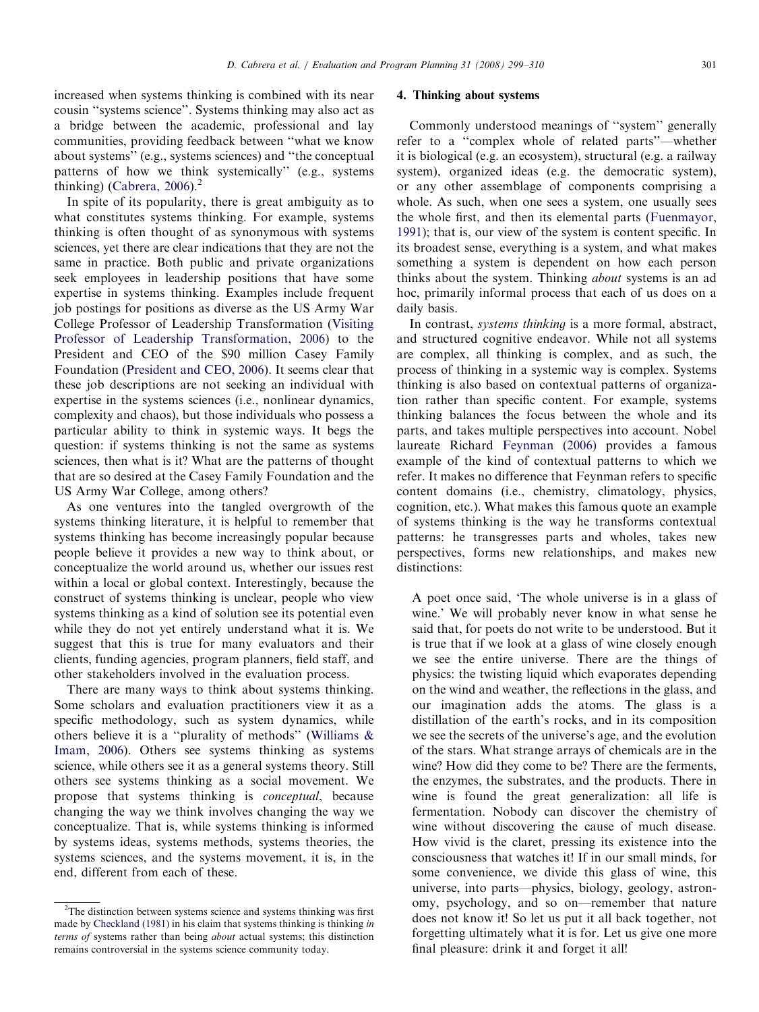increased when systems thinking is combined with its near cousin ''systems science''. Systems thinking may also act as a bridge between the academic, professional and lay communities, providing feedback between ''what we know about systems'' (e.g., systems sciences) and ''the conceptual patterns of how we think systemically'' (e.g., systems thinking) [\(Cabrera, 2006\)](#page-10-0). $<sup>2</sup>$ </sup>

In spite of its popularity, there is great ambiguity as to what constitutes systems thinking. For example, systems thinking is often thought of as synonymous with systems sciences, yet there are clear indications that they are not the same in practice. Both public and private organizations seek employees in leadership positions that have some expertise in systems thinking. Examples include frequent job postings for positions as diverse as the US Army War College Professor of Leadership Transformation ([Visiting](#page-11-0) [Professor of Leadership Transformation, 2006](#page-11-0)) to the President and CEO of the \$90 million Casey Family Foundation [\(President and CEO, 2006](#page-10-0)). It seems clear that these job descriptions are not seeking an individual with expertise in the systems sciences (i.e., nonlinear dynamics, complexity and chaos), but those individuals who possess a particular ability to think in systemic ways. It begs the question: if systems thinking is not the same as systems sciences, then what is it? What are the patterns of thought that are so desired at the Casey Family Foundation and the US Army War College, among others?

As one ventures into the tangled overgrowth of the systems thinking literature, it is helpful to remember that systems thinking has become increasingly popular because people believe it provides a new way to think about, or conceptualize the world around us, whether our issues rest within a local or global context. Interestingly, because the construct of systems thinking is unclear, people who view systems thinking as a kind of solution see its potential even while they do not yet entirely understand what it is. We suggest that this is true for many evaluators and their clients, funding agencies, program planners, field staff, and other stakeholders involved in the evaluation process.

There are many ways to think about systems thinking. Some scholars and evaluation practitioners view it as a specific methodology, such as system dynamics, while others believe it is a ''plurality of methods'' [\(Williams &](#page-11-0) [Imam, 2006](#page-11-0)). Others see systems thinking as systems science, while others see it as a general systems theory. Still others see systems thinking as a social movement. We propose that systems thinking is conceptual, because changing the way we think involves changing the way we conceptualize. That is, while systems thinking is informed by systems ideas, systems methods, systems theories, the systems sciences, and the systems movement, it is, in the end, different from each of these.

### 4. Thinking about systems

Commonly understood meanings of ''system'' generally refer to a ''complex whole of related parts''—whether it is biological (e.g. an ecosystem), structural (e.g. a railway system), organized ideas (e.g. the democratic system), or any other assemblage of components comprising a whole. As such, when one sees a system, one usually sees the whole first, and then its elemental parts [\(Fuenmayor,](#page-10-0) [1991](#page-10-0)); that is, our view of the system is content specific. In its broadest sense, everything is a system, and what makes something a system is dependent on how each person thinks about the system. Thinking about systems is an ad hoc, primarily informal process that each of us does on a daily basis.

In contrast, systems thinking is a more formal, abstract, and structured cognitive endeavor. While not all systems are complex, all thinking is complex, and as such, the process of thinking in a systemic way is complex. Systems thinking is also based on contextual patterns of organization rather than specific content. For example, systems thinking balances the focus between the whole and its parts, and takes multiple perspectives into account. Nobel laureate Richard [Feynman \(2006\)](#page-10-0) provides a famous example of the kind of contextual patterns to which we refer. It makes no difference that Feynman refers to specific content domains (i.e., chemistry, climatology, physics, cognition, etc.). What makes this famous quote an example of systems thinking is the way he transforms contextual patterns: he transgresses parts and wholes, takes new perspectives, forms new relationships, and makes new distinctions:

A poet once said, 'The whole universe is in a glass of wine.' We will probably never know in what sense he said that, for poets do not write to be understood. But it is true that if we look at a glass of wine closely enough we see the entire universe. There are the things of physics: the twisting liquid which evaporates depending on the wind and weather, the reflections in the glass, and our imagination adds the atoms. The glass is a distillation of the earth's rocks, and in its composition we see the secrets of the universe's age, and the evolution of the stars. What strange arrays of chemicals are in the wine? How did they come to be? There are the ferments, the enzymes, the substrates, and the products. There in wine is found the great generalization: all life is fermentation. Nobody can discover the chemistry of wine without discovering the cause of much disease. How vivid is the claret, pressing its existence into the consciousness that watches it! If in our small minds, for some convenience, we divide this glass of wine, this universe, into parts—physics, biology, geology, astronomy, psychology, and so on—remember that nature does not know it! So let us put it all back together, not forgetting ultimately what it is for. Let us give one more final pleasure: drink it and forget it all!

 $2$ The distinction between systems science and systems thinking was first made by [Checkland \(1981\)](#page-10-0) in his claim that systems thinking is thinking in terms of systems rather than being about actual systems; this distinction remains controversial in the systems science community today.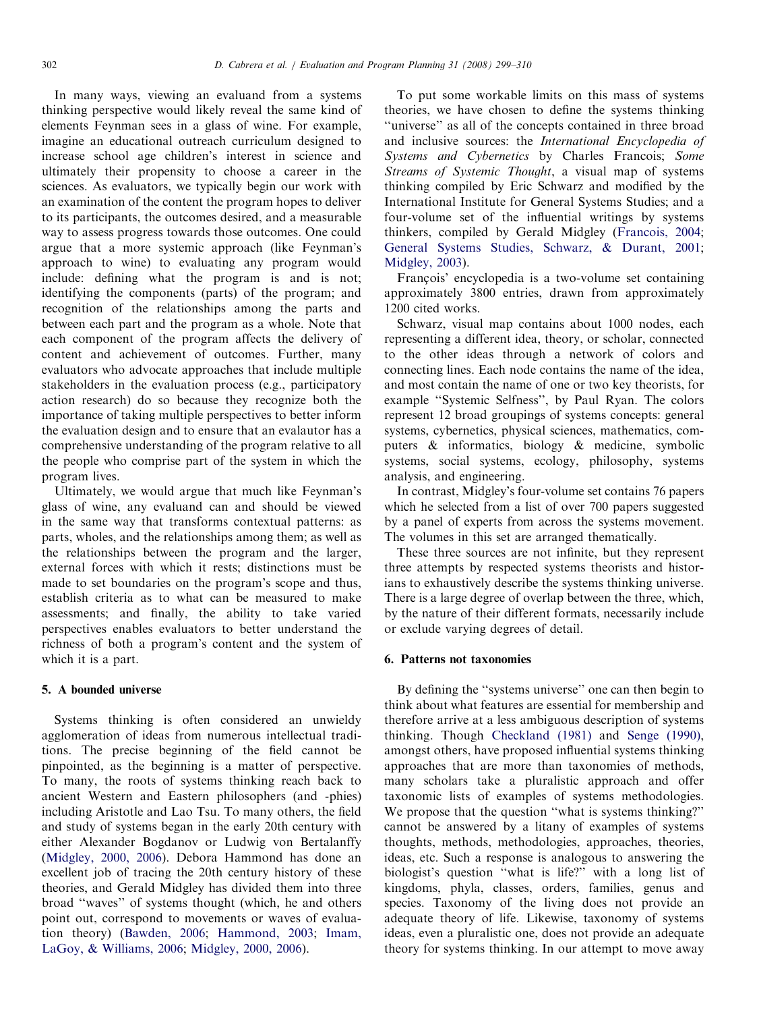In many ways, viewing an evaluand from a systems thinking perspective would likely reveal the same kind of elements Feynman sees in a glass of wine. For example, imagine an educational outreach curriculum designed to increase school age children's interest in science and ultimately their propensity to choose a career in the sciences. As evaluators, we typically begin our work with an examination of the content the program hopes to deliver to its participants, the outcomes desired, and a measurable way to assess progress towards those outcomes. One could argue that a more systemic approach (like Feynman's approach to wine) to evaluating any program would include: defining what the program is and is not; identifying the components (parts) of the program; and recognition of the relationships among the parts and between each part and the program as a whole. Note that each component of the program affects the delivery of content and achievement of outcomes. Further, many evaluators who advocate approaches that include multiple stakeholders in the evaluation process (e.g., participatory action research) do so because they recognize both the importance of taking multiple perspectives to better inform the evaluation design and to ensure that an evalautor has a comprehensive understanding of the program relative to all the people who comprise part of the system in which the program lives.

Ultimately, we would argue that much like Feynman's glass of wine, any evaluand can and should be viewed in the same way that transforms contextual patterns: as parts, wholes, and the relationships among them; as well as the relationships between the program and the larger, external forces with which it rests; distinctions must be made to set boundaries on the program's scope and thus, establish criteria as to what can be measured to make assessments; and finally, the ability to take varied perspectives enables evaluators to better understand the richness of both a program's content and the system of which it is a part.

# 5. A bounded universe

Systems thinking is often considered an unwieldy agglomeration of ideas from numerous intellectual traditions. The precise beginning of the field cannot be pinpointed, as the beginning is a matter of perspective. To many, the roots of systems thinking reach back to ancient Western and Eastern philosophers (and -phies) including Aristotle and Lao Tsu. To many others, the field and study of systems began in the early 20th century with either Alexander Bogdanov or Ludwig von Bertalanffy [\(Midgley, 2000, 2006](#page-10-0)). Debora Hammond has done an excellent job of tracing the 20th century history of these theories, and Gerald Midgley has divided them into three broad ''waves'' of systems thought (which, he and others point out, correspond to movements or waves of evaluation theory) ([Bawden, 2006](#page-10-0); [Hammond, 2003](#page-10-0); [Imam,](#page-10-0) [LaGoy,](#page-10-0) & [Williams, 2006;](#page-10-0) [Midgley, 2000, 2006\)](#page-10-0).

To put some workable limits on this mass of systems theories, we have chosen to define the systems thinking ''universe'' as all of the concepts contained in three broad and inclusive sources: the International Encyclopedia of Systems and Cybernetics by Charles Francois; Some Streams of Systemic Thought, a visual map of systems thinking compiled by Eric Schwarz and modified by the International Institute for General Systems Studies; and a four-volume set of the influential writings by systems thinkers, compiled by Gerald Midgley [\(Francois, 2004](#page-10-0); [General Systems Studies, Schwarz, & Durant, 2001](#page-10-0); [Midgley, 2003\)](#page-10-0).

François' encyclopedia is a two-volume set containing approximately 3800 entries, drawn from approximately 1200 cited works.

Schwarz, visual map contains about 1000 nodes, each representing a different idea, theory, or scholar, connected to the other ideas through a network of colors and connecting lines. Each node contains the name of the idea, and most contain the name of one or two key theorists, for example ''Systemic Selfness'', by Paul Ryan. The colors represent 12 broad groupings of systems concepts: general systems, cybernetics, physical sciences, mathematics, computers & informatics, biology & medicine, symbolic systems, social systems, ecology, philosophy, systems analysis, and engineering.

In contrast, Midgley's four-volume set contains 76 papers which he selected from a list of over 700 papers suggested by a panel of experts from across the systems movement. The volumes in this set are arranged thematically.

These three sources are not infinite, but they represent three attempts by respected systems theorists and historians to exhaustively describe the systems thinking universe. There is a large degree of overlap between the three, which, by the nature of their different formats, necessarily include or exclude varying degrees of detail.

#### 6. Patterns not taxonomies

By defining the ''systems universe'' one can then begin to think about what features are essential for membership and therefore arrive at a less ambiguous description of systems thinking. Though [Checkland \(1981\)](#page-10-0) and [Senge \(1990\)](#page-10-0), amongst others, have proposed influential systems thinking approaches that are more than taxonomies of methods, many scholars take a pluralistic approach and offer taxonomic lists of examples of systems methodologies. We propose that the question ''what is systems thinking?'' cannot be answered by a litany of examples of systems thoughts, methods, methodologies, approaches, theories, ideas, etc. Such a response is analogous to answering the biologist's question ''what is life?'' with a long list of kingdoms, phyla, classes, orders, families, genus and species. Taxonomy of the living does not provide an adequate theory of life. Likewise, taxonomy of systems ideas, even a pluralistic one, does not provide an adequate theory for systems thinking. In our attempt to move away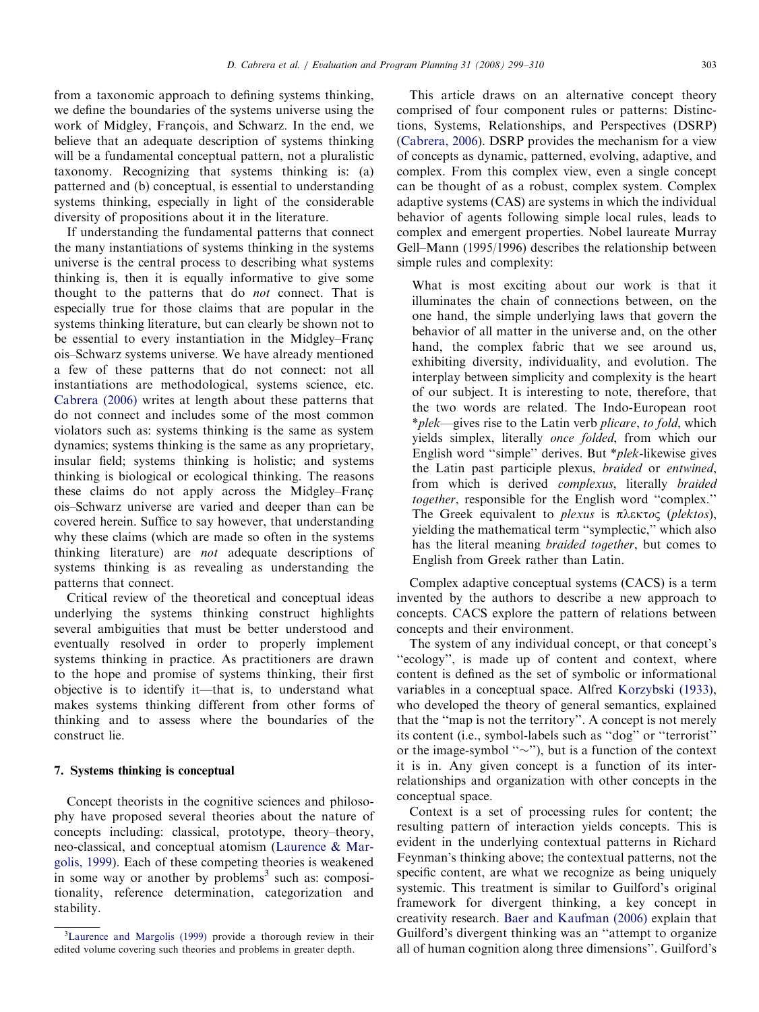from a taxonomic approach to defining systems thinking, we define the boundaries of the systems universe using the work of Midgley, François, and Schwarz. In the end, we believe that an adequate description of systems thinking will be a fundamental conceptual pattern, not a pluralistic taxonomy. Recognizing that systems thinking is: (a) patterned and (b) conceptual, is essential to understanding systems thinking, especially in light of the considerable diversity of propositions about it in the literature.

If understanding the fundamental patterns that connect the many instantiations of systems thinking in the systems universe is the central process to describing what systems thinking is, then it is equally informative to give some thought to the patterns that do not connect. That is especially true for those claims that are popular in the systems thinking literature, but can clearly be shown not to be essential to every instantiation in the Midgley–Francois–Schwarz systems universe. We have already mentioned a few of these patterns that do not connect: not all instantiations are methodological, systems science, etc. [Cabrera \(2006\)](#page-10-0) writes at length about these patterns that do not connect and includes some of the most common violators such as: systems thinking is the same as system dynamics; systems thinking is the same as any proprietary, insular field; systems thinking is holistic; and systems thinking is biological or ecological thinking. The reasons these claims do not apply across the Midgley–Francois–Schwarz universe are varied and deeper than can be covered herein. Suffice to say however, that understanding why these claims (which are made so often in the systems thinking literature) are not adequate descriptions of systems thinking is as revealing as understanding the patterns that connect.

Critical review of the theoretical and conceptual ideas underlying the systems thinking construct highlights several ambiguities that must be better understood and eventually resolved in order to properly implement systems thinking in practice. As practitioners are drawn to the hope and promise of systems thinking, their first objective is to identify it—that is, to understand what makes systems thinking different from other forms of thinking and to assess where the boundaries of the construct lie.

#### 7. Systems thinking is conceptual

Concept theorists in the cognitive sciences and philosophy have proposed several theories about the nature of concepts including: classical, prototype, theory–theory, neo-classical, and conceptual atomism [\(Laurence & Mar](#page-10-0)[golis, 1999\)](#page-10-0). Each of these competing theories is weakened in some way or another by problems<sup>3</sup> such as: compositionality, reference determination, categorization and stability.

This article draws on an alternative concept theory comprised of four component rules or patterns: Distinctions, Systems, Relationships, and Perspectives (DSRP) ([Cabrera, 2006](#page-10-0)). DSRP provides the mechanism for a view of concepts as dynamic, patterned, evolving, adaptive, and complex. From this complex view, even a single concept can be thought of as a robust, complex system. Complex adaptive systems (CAS) are systems in which the individual behavior of agents following simple local rules, leads to complex and emergent properties. Nobel laureate Murray Gell–Mann (1995/1996) describes the relationship between simple rules and complexity:

What is most exciting about our work is that it illuminates the chain of connections between, on the one hand, the simple underlying laws that govern the behavior of all matter in the universe and, on the other hand, the complex fabric that we see around us, exhibiting diversity, individuality, and evolution. The interplay between simplicity and complexity is the heart of our subject. It is interesting to note, therefore, that the two words are related. The Indo-European root \*plek—gives rise to the Latin verb plicare, to fold, which yields simplex, literally once folded, from which our English word ''simple'' derives. But \*plek-likewise gives the Latin past participle plexus, braided or entwined, from which is derived complexus, literally braided together, responsible for the English word ''complex.'' The Greek equivalent to *plexus* is  $\pi \lambda \varepsilon \kappa \tau o \varsigma$  (*plektos*), yielding the mathematical term ''symplectic,'' which also has the literal meaning braided together, but comes to English from Greek rather than Latin.

Complex adaptive conceptual systems (CACS) is a term invented by the authors to describe a new approach to concepts. CACS explore the pattern of relations between concepts and their environment.

The system of any individual concept, or that concept's "ecology", is made up of content and context, where content is defined as the set of symbolic or informational variables in a conceptual space. Alfred [Korzybski \(1933\),](#page-10-0) who developed the theory of general semantics, explained that the ''map is not the territory''. A concept is not merely its content (i.e., symbol-labels such as ''dog'' or ''terrorist'' or the image-symbol " $\sim$ "), but is a function of the context it is in. Any given concept is a function of its interrelationships and organization with other concepts in the conceptual space.

Context is a set of processing rules for content; the resulting pattern of interaction yields concepts. This is evident in the underlying contextual patterns in Richard Feynman's thinking above; the contextual patterns, not the specific content, are what we recognize as being uniquely systemic. This treatment is similar to Guilford's original framework for divergent thinking, a key concept in creativity research. [Baer and Kaufman \(2006\)](#page-10-0) explain that Guilford's divergent thinking was an ''attempt to organize all of human cognition along three dimensions''. Guilford's

<sup>&</sup>lt;sup>3</sup>[Laurence and Margolis \(1999\)](#page-10-0) provide a thorough review in their edited volume covering such theories and problems in greater depth.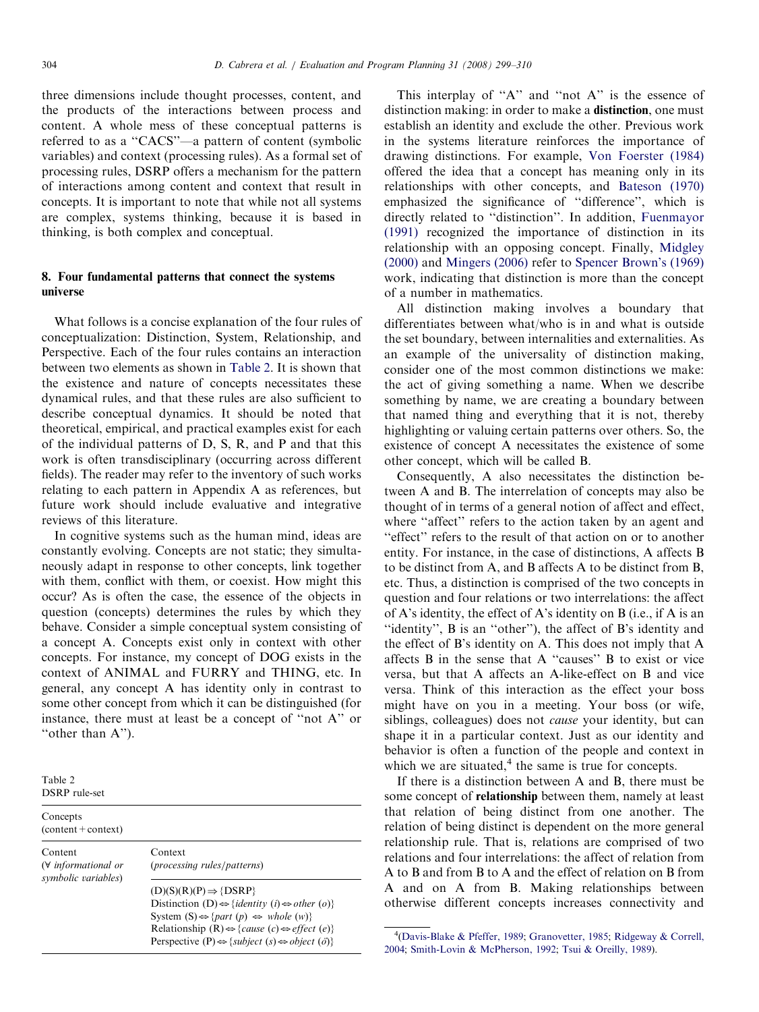three dimensions include thought processes, content, and the products of the interactions between process and content. A whole mess of these conceptual patterns is referred to as a ''CACS''—a pattern of content (symbolic variables) and context (processing rules). As a formal set of processing rules, DSRP offers a mechanism for the pattern of interactions among content and context that result in concepts. It is important to note that while not all systems are complex, systems thinking, because it is based in thinking, is both complex and conceptual.

# 8. Four fundamental patterns that connect the systems universe

What follows is a concise explanation of the four rules of conceptualization: Distinction, System, Relationship, and Perspective. Each of the four rules contains an interaction between two elements as shown in Table 2. It is shown that the existence and nature of concepts necessitates these dynamical rules, and that these rules are also sufficient to describe conceptual dynamics. It should be noted that theoretical, empirical, and practical examples exist for each of the individual patterns of D, S, R, and P and that this work is often transdisciplinary (occurring across different fields). The reader may refer to the inventory of such works relating to each pattern in Appendix A as references, but future work should include evaluative and integrative reviews of this literature.

In cognitive systems such as the human mind, ideas are constantly evolving. Concepts are not static; they simultaneously adapt in response to other concepts, link together with them, conflict with them, or coexist. How might this occur? As is often the case, the essence of the objects in question (concepts) determines the rules by which they behave. Consider a simple conceptual system consisting of a concept A. Concepts exist only in context with other concepts. For instance, my concept of DOG exists in the context of ANIMAL and FURRY and THING, etc. In general, any concept A has identity only in contrast to some other concept from which it can be distinguished (for instance, there must at least be a concept of ''not A'' or "other than A").

Table 2 DSRP rule-set

| Concepts<br>$(content + context)$                             |                                                                                                                                                                                                                                                                                                                                                                                                            |
|---------------------------------------------------------------|------------------------------------------------------------------------------------------------------------------------------------------------------------------------------------------------------------------------------------------------------------------------------------------------------------------------------------------------------------------------------------------------------------|
| Content<br>$(\forall$ informational or<br>symbolic variables) | Context<br>( <i>processing rules</i> / <i>patterns</i> )                                                                                                                                                                                                                                                                                                                                                   |
|                                                               | $(D)(S)(R)(P) \Rightarrow \{DSRP\}$<br>Distinction (D) $\Leftrightarrow$ { <i>identity</i> ( <i>i</i> ) $\Leftrightarrow$ <i>other</i> ( <i>o</i> )}<br>System $(S) \Leftrightarrow$ { <i>part (p)</i> $\Leftrightarrow$ <i>whole (w)</i> }<br>Relationship (R) $\Leftrightarrow$ {cause (c) $\Leftrightarrow$ effect (e)}<br>Perspective (P) $\Leftrightarrow$ {subject (s) $\Leftrightarrow$ object (o)} |

This interplay of "A" and "not A" is the essence of distinction making: in order to make a **distinction**, one must establish an identity and exclude the other. Previous work in the systems literature reinforces the importance of drawing distinctions. For example, [Von Foerster \(1984\)](#page-11-0) offered the idea that a concept has meaning only in its relationships with other concepts, and [Bateson \(1970\)](#page-10-0) emphasized the significance of ''difference'', which is directly related to ''distinction''. In addition, [Fuenmayor](#page-10-0) [\(1991\)](#page-10-0) recognized the importance of distinction in its relationship with an opposing concept. Finally, [Midgley](#page-10-0) [\(2000\)](#page-10-0) and [Mingers \(2006\)](#page-10-0) refer to [Spencer Brown's \(1969\)](#page-11-0) work, indicating that distinction is more than the concept of a number in mathematics.

All distinction making involves a boundary that differentiates between what/who is in and what is outside the set boundary, between internalities and externalities. As an example of the universality of distinction making, consider one of the most common distinctions we make: the act of giving something a name. When we describe something by name, we are creating a boundary between that named thing and everything that it is not, thereby highlighting or valuing certain patterns over others. So, the existence of concept A necessitates the existence of some other concept, which will be called B.

Consequently, A also necessitates the distinction between A and B. The interrelation of concepts may also be thought of in terms of a general notion of affect and effect, where "affect" refers to the action taken by an agent and "effect" refers to the result of that action on or to another entity. For instance, in the case of distinctions, A affects B to be distinct from A, and B affects A to be distinct from B, etc. Thus, a distinction is comprised of the two concepts in question and four relations or two interrelations: the affect of A's identity, the effect of A's identity on B (i.e., if A is an ''identity'', B is an ''other''), the affect of B's identity and the effect of B's identity on A. This does not imply that A affects B in the sense that A ''causes'' B to exist or vice versa, but that A affects an A-like-effect on B and vice versa. Think of this interaction as the effect your boss might have on you in a meeting. Your boss (or wife, siblings, colleagues) does not *cause* your identity, but can shape it in a particular context. Just as our identity and behavior is often a function of the people and context in which we are situated, $4$  the same is true for concepts.

If there is a distinction between A and B, there must be some concept of relationship between them, namely at least that relation of being distinct from one another. The relation of being distinct is dependent on the more general relationship rule. That is, relations are comprised of two relations and four interrelations: the affect of relation from A to B and from B to A and the effect of relation on B from A and on A from B. Making relationships between otherwise different concepts increases connectivity and

<sup>&</sup>lt;sup>4</sup>[\(Davis-Blake](#page-10-0) [& Pfeffer, 1989;](#page-10-0) [Granovetter, 1985](#page-10-0); [Ridgeway](#page-10-0) [& Correll,](#page-10-0) [2004;](#page-10-0) [Smith-Lovin & McPherson, 1992](#page-11-0); [Tsui & Oreilly, 1989](#page-11-0)).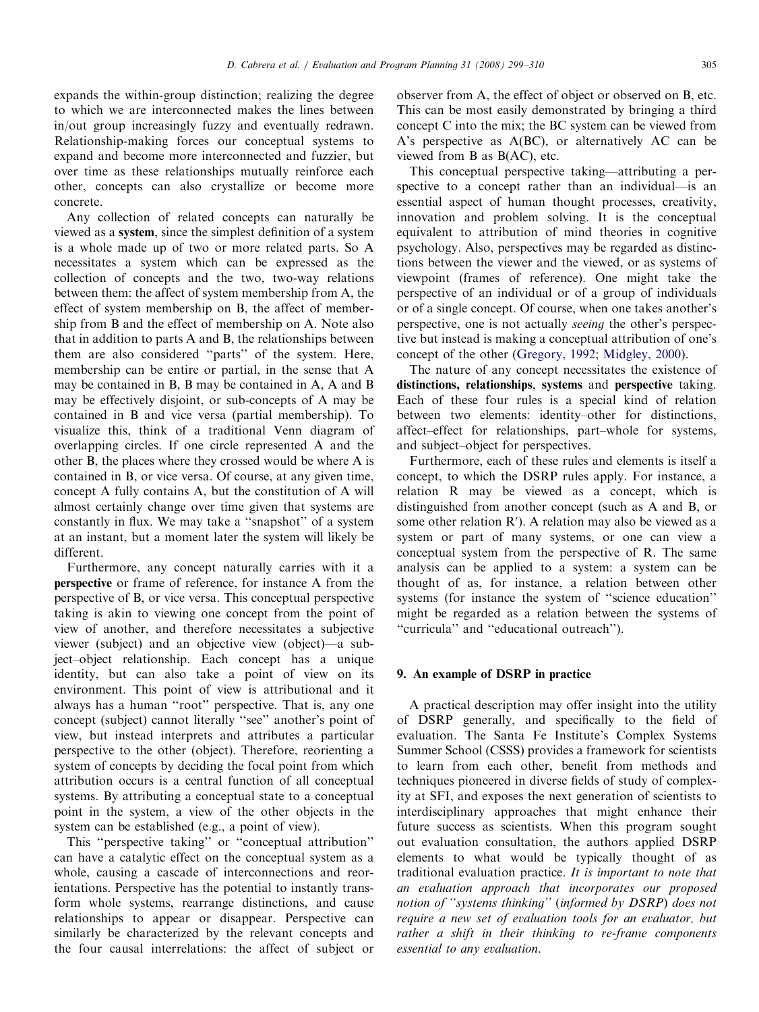expands the within-group distinction; realizing the degree to which we are interconnected makes the lines between in/out group increasingly fuzzy and eventually redrawn. Relationship-making forces our conceptual systems to expand and become more interconnected and fuzzier, but over time as these relationships mutually reinforce each other, concepts can also crystallize or become more concrete.

Any collection of related concepts can naturally be viewed as a system, since the simplest definition of a system is a whole made up of two or more related parts. So A necessitates a system which can be expressed as the collection of concepts and the two, two-way relations between them: the affect of system membership from A, the effect of system membership on B, the affect of membership from B and the effect of membership on A. Note also that in addition to parts A and B, the relationships between them are also considered ''parts'' of the system. Here, membership can be entire or partial, in the sense that A may be contained in B, B may be contained in A, A and B may be effectively disjoint, or sub-concepts of A may be contained in B and vice versa (partial membership). To visualize this, think of a traditional Venn diagram of overlapping circles. If one circle represented A and the other B, the places where they crossed would be where A is contained in B, or vice versa. Of course, at any given time, concept A fully contains A, but the constitution of A will almost certainly change over time given that systems are constantly in flux. We may take a ''snapshot'' of a system at an instant, but a moment later the system will likely be different.

Furthermore, any concept naturally carries with it a perspective or frame of reference, for instance A from the perspective of B, or vice versa. This conceptual perspective taking is akin to viewing one concept from the point of view of another, and therefore necessitates a subjective viewer (subject) and an objective view (object)—a subject–object relationship. Each concept has a unique identity, but can also take a point of view on its environment. This point of view is attributional and it always has a human ''root'' perspective. That is, any one concept (subject) cannot literally ''see'' another's point of view, but instead interprets and attributes a particular perspective to the other (object). Therefore, reorienting a system of concepts by deciding the focal point from which attribution occurs is a central function of all conceptual systems. By attributing a conceptual state to a conceptual point in the system, a view of the other objects in the system can be established (e.g., a point of view).

This ''perspective taking'' or ''conceptual attribution'' can have a catalytic effect on the conceptual system as a whole, causing a cascade of interconnections and reorientations. Perspective has the potential to instantly transform whole systems, rearrange distinctions, and cause relationships to appear or disappear. Perspective can similarly be characterized by the relevant concepts and the four causal interrelations: the affect of subject or observer from A, the effect of object or observed on B, etc. This can be most easily demonstrated by bringing a third concept C into the mix; the BC system can be viewed from A's perspective as A(BC), or alternatively AC can be viewed from B as B(AC), etc.

This conceptual perspective taking—attributing a perspective to a concept rather than an individual—is an essential aspect of human thought processes, creativity, innovation and problem solving. It is the conceptual equivalent to attribution of mind theories in cognitive psychology. Also, perspectives may be regarded as distinctions between the viewer and the viewed, or as systems of viewpoint (frames of reference). One might take the perspective of an individual or of a group of individuals or of a single concept. Of course, when one takes another's perspective, one is not actually seeing the other's perspective but instead is making a conceptual attribution of one's concept of the other ([Gregory, 1992](#page-10-0); [Midgley, 2000\)](#page-10-0).

The nature of any concept necessitates the existence of distinctions, relationships, systems and perspective taking. Each of these four rules is a special kind of relation between two elements: identity–other for distinctions, affect–effect for relationships, part–whole for systems, and subject–object for perspectives.

Furthermore, each of these rules and elements is itself a concept, to which the DSRP rules apply. For instance, a relation R may be viewed as a concept, which is distinguished from another concept (such as A and B, or some other relation  $R'$ ). A relation may also be viewed as a system or part of many systems, or one can view a conceptual system from the perspective of R. The same analysis can be applied to a system: a system can be thought of as, for instance, a relation between other systems (for instance the system of ''science education'' might be regarded as a relation between the systems of ''curricula'' and ''educational outreach'').

## 9. An example of DSRP in practice

A practical description may offer insight into the utility of DSRP generally, and specifically to the field of evaluation. The Santa Fe Institute's Complex Systems Summer School (CSSS) provides a framework for scientists to learn from each other, benefit from methods and techniques pioneered in diverse fields of study of complexity at SFI, and exposes the next generation of scientists to interdisciplinary approaches that might enhance their future success as scientists. When this program sought out evaluation consultation, the authors applied DSRP elements to what would be typically thought of as traditional evaluation practice. It is important to note that an evaluation approach that incorporates our proposed notion of ''systems thinking'' (informed by DSRP) does not require a new set of evaluation tools for an evaluator, but rather a shift in their thinking to re-frame components essential to any evaluation.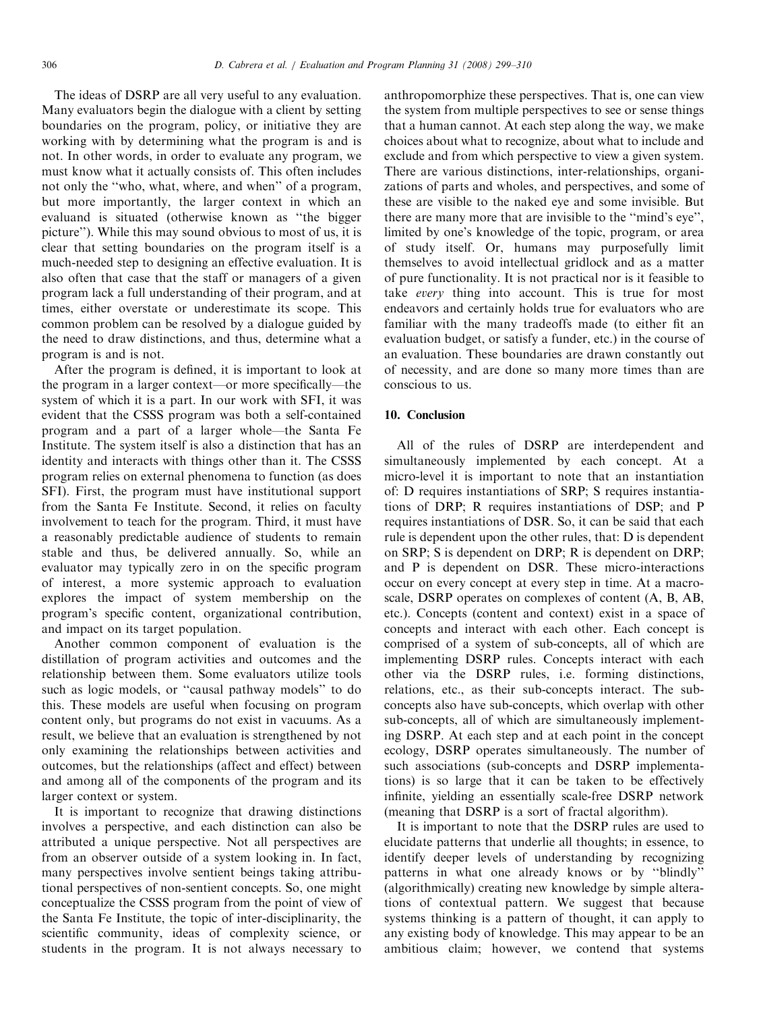The ideas of DSRP are all very useful to any evaluation. Many evaluators begin the dialogue with a client by setting boundaries on the program, policy, or initiative they are working with by determining what the program is and is not. In other words, in order to evaluate any program, we must know what it actually consists of. This often includes not only the ''who, what, where, and when'' of a program, but more importantly, the larger context in which an evaluand is situated (otherwise known as ''the bigger picture''). While this may sound obvious to most of us, it is clear that setting boundaries on the program itself is a much-needed step to designing an effective evaluation. It is also often that case that the staff or managers of a given program lack a full understanding of their program, and at times, either overstate or underestimate its scope. This common problem can be resolved by a dialogue guided by the need to draw distinctions, and thus, determine what a program is and is not.

After the program is defined, it is important to look at the program in a larger context—or more specifically—the system of which it is a part. In our work with SFI, it was evident that the CSSS program was both a self-contained program and a part of a larger whole—the Santa Fe Institute. The system itself is also a distinction that has an identity and interacts with things other than it. The CSSS program relies on external phenomena to function (as does SFI). First, the program must have institutional support from the Santa Fe Institute. Second, it relies on faculty involvement to teach for the program. Third, it must have a reasonably predictable audience of students to remain stable and thus, be delivered annually. So, while an evaluator may typically zero in on the specific program of interest, a more systemic approach to evaluation explores the impact of system membership on the program's specific content, organizational contribution, and impact on its target population.

Another common component of evaluation is the distillation of program activities and outcomes and the relationship between them. Some evaluators utilize tools such as logic models, or ''causal pathway models'' to do this. These models are useful when focusing on program content only, but programs do not exist in vacuums. As a result, we believe that an evaluation is strengthened by not only examining the relationships between activities and outcomes, but the relationships (affect and effect) between and among all of the components of the program and its larger context or system.

It is important to recognize that drawing distinctions involves a perspective, and each distinction can also be attributed a unique perspective. Not all perspectives are from an observer outside of a system looking in. In fact, many perspectives involve sentient beings taking attributional perspectives of non-sentient concepts. So, one might conceptualize the CSSS program from the point of view of the Santa Fe Institute, the topic of inter-disciplinarity, the scientific community, ideas of complexity science, or students in the program. It is not always necessary to

anthropomorphize these perspectives. That is, one can view the system from multiple perspectives to see or sense things that a human cannot. At each step along the way, we make choices about what to recognize, about what to include and exclude and from which perspective to view a given system. There are various distinctions, inter-relationships, organizations of parts and wholes, and perspectives, and some of these are visible to the naked eye and some invisible. But there are many more that are invisible to the ''mind's eye'', limited by one's knowledge of the topic, program, or area of study itself. Or, humans may purposefully limit themselves to avoid intellectual gridlock and as a matter of pure functionality. It is not practical nor is it feasible to take every thing into account. This is true for most endeavors and certainly holds true for evaluators who are familiar with the many tradeoffs made (to either fit an evaluation budget, or satisfy a funder, etc.) in the course of an evaluation. These boundaries are drawn constantly out of necessity, and are done so many more times than are conscious to us.

## 10. Conclusion

All of the rules of DSRP are interdependent and simultaneously implemented by each concept. At a micro-level it is important to note that an instantiation of: D requires instantiations of SRP; S requires instantiations of DRP; R requires instantiations of DSP; and P requires instantiations of DSR. So, it can be said that each rule is dependent upon the other rules, that: D is dependent on SRP; S is dependent on DRP; R is dependent on DRP; and P is dependent on DSR. These micro-interactions occur on every concept at every step in time. At a macroscale, DSRP operates on complexes of content (A, B, AB, etc.). Concepts (content and context) exist in a space of concepts and interact with each other. Each concept is comprised of a system of sub-concepts, all of which are implementing DSRP rules. Concepts interact with each other via the DSRP rules, i.e. forming distinctions, relations, etc., as their sub-concepts interact. The subconcepts also have sub-concepts, which overlap with other sub-concepts, all of which are simultaneously implementing DSRP. At each step and at each point in the concept ecology, DSRP operates simultaneously. The number of such associations (sub-concepts and DSRP implementations) is so large that it can be taken to be effectively infinite, yielding an essentially scale-free DSRP network (meaning that DSRP is a sort of fractal algorithm).

It is important to note that the DSRP rules are used to elucidate patterns that underlie all thoughts; in essence, to identify deeper levels of understanding by recognizing patterns in what one already knows or by ''blindly'' (algorithmically) creating new knowledge by simple alterations of contextual pattern. We suggest that because systems thinking is a pattern of thought, it can apply to any existing body of knowledge. This may appear to be an ambitious claim; however, we contend that systems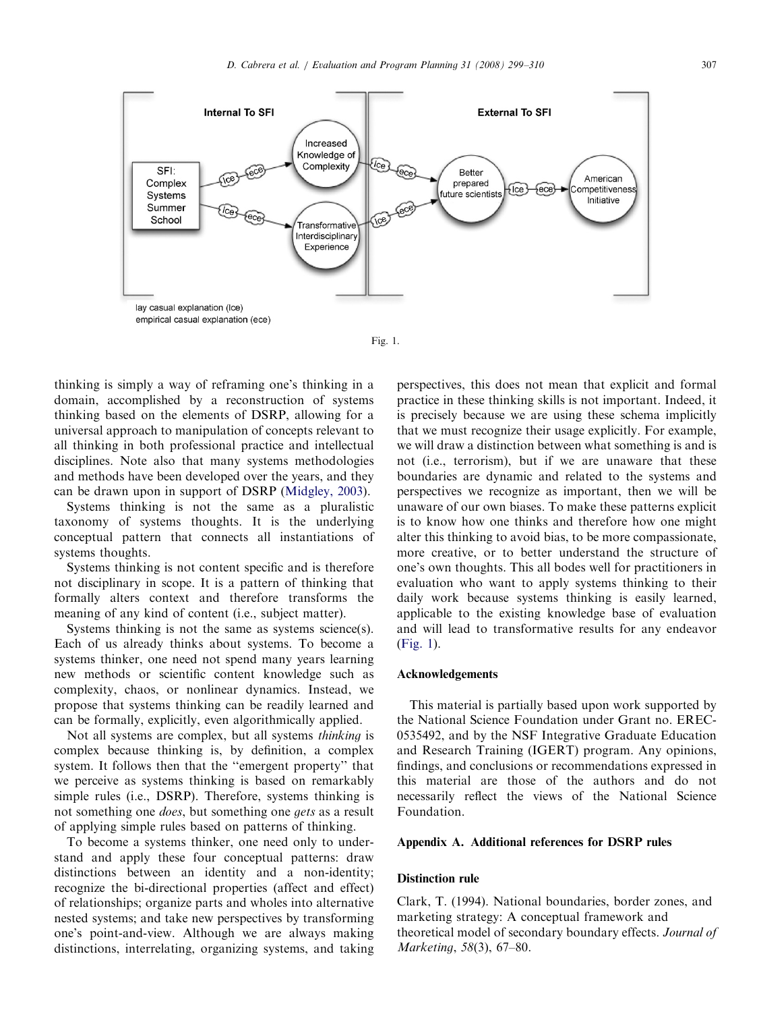

empirical casual explanation (ece)

Fig. 1.

thinking is simply a way of reframing one's thinking in a domain, accomplished by a reconstruction of systems thinking based on the elements of DSRP, allowing for a universal approach to manipulation of concepts relevant to all thinking in both professional practice and intellectual disciplines. Note also that many systems methodologies and methods have been developed over the years, and they can be drawn upon in support of DSRP ([Midgley, 2003\)](#page-10-0).

Systems thinking is not the same as a pluralistic taxonomy of systems thoughts. It is the underlying conceptual pattern that connects all instantiations of systems thoughts.

Systems thinking is not content specific and is therefore not disciplinary in scope. It is a pattern of thinking that formally alters context and therefore transforms the meaning of any kind of content (i.e., subject matter).

Systems thinking is not the same as systems science(s). Each of us already thinks about systems. To become a systems thinker, one need not spend many years learning new methods or scientific content knowledge such as complexity, chaos, or nonlinear dynamics. Instead, we propose that systems thinking can be readily learned and can be formally, explicitly, even algorithmically applied.

Not all systems are complex, but all systems thinking is complex because thinking is, by definition, a complex system. It follows then that the ''emergent property'' that we perceive as systems thinking is based on remarkably simple rules (i.e., DSRP). Therefore, systems thinking is not something one does, but something one gets as a result of applying simple rules based on patterns of thinking.

To become a systems thinker, one need only to understand and apply these four conceptual patterns: draw distinctions between an identity and a non-identity; recognize the bi-directional properties (affect and effect) of relationships; organize parts and wholes into alternative nested systems; and take new perspectives by transforming one's point-and-view. Although we are always making distinctions, interrelating, organizing systems, and taking perspectives, this does not mean that explicit and formal practice in these thinking skills is not important. Indeed, it is precisely because we are using these schema implicitly that we must recognize their usage explicitly. For example, we will draw a distinction between what something is and is not (i.e., terrorism), but if we are unaware that these boundaries are dynamic and related to the systems and perspectives we recognize as important, then we will be unaware of our own biases. To make these patterns explicit is to know how one thinks and therefore how one might alter this thinking to avoid bias, to be more compassionate, more creative, or to better understand the structure of one's own thoughts. This all bodes well for practitioners in evaluation who want to apply systems thinking to their daily work because systems thinking is easily learned, applicable to the existing knowledge base of evaluation and will lead to transformative results for any endeavor (Fig. 1).

## Acknowledgements

This material is partially based upon work supported by the National Science Foundation under Grant no. EREC-0535492, and by the NSF Integrative Graduate Education and Research Training (IGERT) program. Any opinions, findings, and conclusions or recommendations expressed in this material are those of the authors and do not necessarily reflect the views of the National Science Foundation.

#### Appendix A. Additional references for DSRP rules

## Distinction rule

Clark, T. (1994). National boundaries, border zones, and marketing strategy: A conceptual framework and theoretical model of secondary boundary effects. Journal of Marketing, 58(3), 67–80.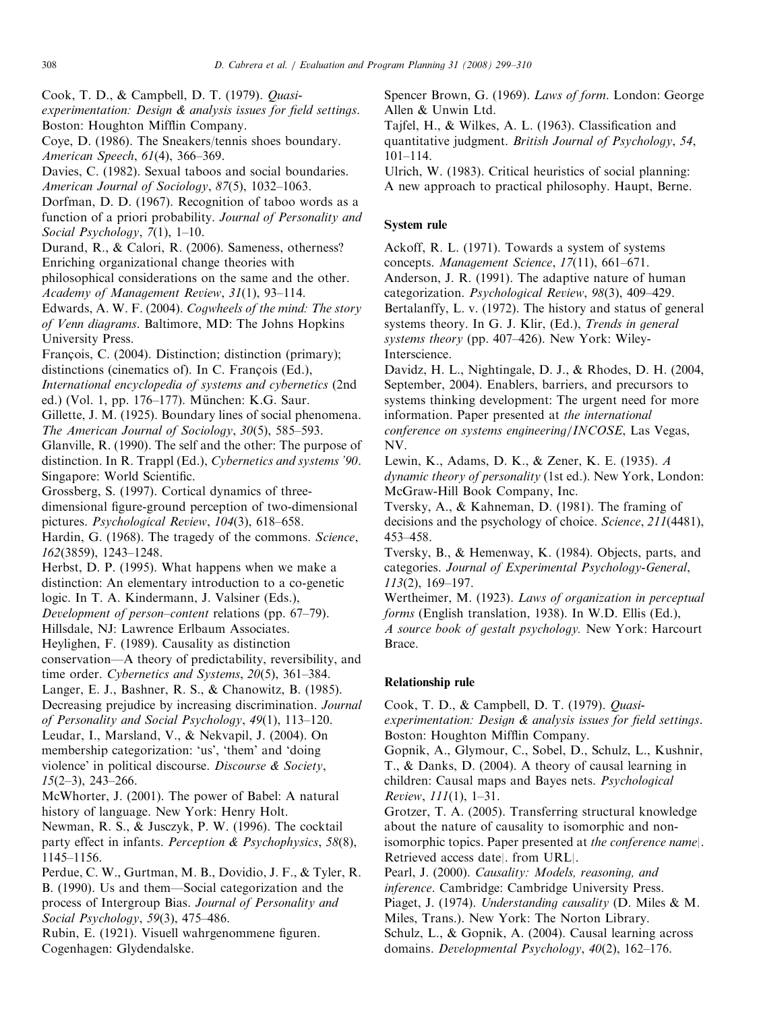Cook, T. D., & Campbell, D. T. (1979). Quasi-

experimentation: Design & analysis issues for field settings. Boston: Houghton Mifflin Company.

Coye, D. (1986). The Sneakers/tennis shoes boundary. American Speech, 61(4), 366–369.

Davies, C. (1982). Sexual taboos and social boundaries. American Journal of Sociology, 87(5), 1032–1063.

Dorfman, D. D. (1967). Recognition of taboo words as a function of a priori probability. Journal of Personality and Social Psychology, 7(1), 1–10.

Durand, R., & Calori, R. (2006). Sameness, otherness? Enriching organizational change theories with philosophical considerations on the same and the other. Academy of Management Review, 31(1), 93–114.

Edwards, A. W. F. (2004). Cogwheels of the mind: The story of Venn diagrams. Baltimore, MD: The Johns Hopkins University Press.

Francois, C. (2004). Distinction; distinction (primary); distinctions (cinematics of). In C. François (Ed.),

International encyclopedia of systems and cybernetics (2nd ed.) (Vol. 1, pp. 176–177). München: K.G. Saur.

Gillette, J. M. (1925). Boundary lines of social phenomena. The American Journal of Sociology, 30(5), 585–593.

Glanville, R. (1990). The self and the other: The purpose of distinction. In R. Trappl (Ed.), Cybernetics and systems '90. Singapore: World Scientific.

Grossberg, S. (1997). Cortical dynamics of threedimensional figure-ground perception of two-dimensional pictures. Psychological Review, 104(3), 618–658.

Hardin, G. (1968). The tragedy of the commons. Science, 162(3859), 1243–1248.

Herbst, D. P. (1995). What happens when we make a distinction: An elementary introduction to a co-genetic

logic. In T. A. Kindermann, J. Valsiner (Eds.),

Development of person–content relations (pp. 67–79).

Hillsdale, NJ: Lawrence Erlbaum Associates.

Heylighen, F. (1989). Causality as distinction

conservation—A theory of predictability, reversibility, and time order. Cybernetics and Systems, 20(5), 361–384.

Langer, E. J., Bashner, R. S., & Chanowitz, B. (1985).

Decreasing prejudice by increasing discrimination. Journal

of Personality and Social Psychology, 49(1), 113–120. Leudar, I., Marsland, V., & Nekvapil, J. (2004). On membership categorization: 'us', 'them' and 'doing violence' in political discourse. Discourse & Society,  $15(2-3)$ , 243-266.

McWhorter, J. (2001). The power of Babel: A natural history of language. New York: Henry Holt.

Newman, R. S., & Jusczyk, P. W. (1996). The cocktail party effect in infants. Perception & Psychophysics, 58(8), 1145–1156.

Perdue, C. W., Gurtman, M. B., Dovidio, J. F., & Tyler, R. B. (1990). Us and them—Social categorization and the process of Intergroup Bias. Journal of Personality and Social Psychology, 59(3), 475–486.

Rubin, E. (1921). Visuell wahrgenommene figuren. Cogenhagen: Glydendalske.

Spencer Brown, G. (1969). Laws of form. London: George Allen & Unwin Ltd.

Tajfel, H., & Wilkes, A. L. (1963). Classification and quantitative judgment. British Journal of Psychology, 54, 101–114.

Ulrich, W. (1983). Critical heuristics of social planning: A new approach to practical philosophy. Haupt, Berne.

# System rule

Ackoff, R. L. (1971). Towards a system of systems concepts. Management Science, 17(11), 661–671. Anderson, J. R. (1991). The adaptive nature of human categorization. Psychological Review, 98(3), 409–429. Bertalanffy, L. v. (1972). The history and status of general systems theory. In G. J. Klir, (Ed.), Trends in general systems theory (pp. 407–426). New York: Wiley-Interscience.

Davidz, H. L., Nightingale, D. J., & Rhodes, D. H. (2004, September, 2004). Enablers, barriers, and precursors to systems thinking development: The urgent need for more information. Paper presented at the international conference on systems engineering/INCOSE, Las Vegas, NV.

Lewin, K., Adams, D. K., & Zener, K. E. (1935). A dynamic theory of personality (1st ed.). New York, London: McGraw-Hill Book Company, Inc.

Tversky, A., & Kahneman, D. (1981). The framing of decisions and the psychology of choice. Science, 211(4481), 453–458.

Tversky, B., & Hemenway, K. (1984). Objects, parts, and categories. Journal of Experimental Psychology-General, 113(2), 169–197.

Wertheimer, M. (1923). Laws of organization in perceptual forms (English translation, 1938). In W.D. Ellis (Ed.), A source book of gestalt psychology. New York: Harcourt Brace.

# Relationship rule

Cook, T. D., & Campbell, D. T. (1979). Quasiexperimentation: Design & analysis issues for field settings. Boston: Houghton Mifflin Company.

Gopnik, A., Glymour, C., Sobel, D., Schulz, L., Kushnir, T., & Danks, D. (2004). A theory of causal learning in children: Causal maps and Bayes nets. Psychological Review, 111(1), 1–31.

Grotzer, T. A. (2005). Transferring structural knowledge about the nature of causality to isomorphic and nonisomorphic topics. Paper presented at the conference name|. Retrieved access date|. from URL|.

Pearl, J. (2000). Causality: Models, reasoning, and inference. Cambridge: Cambridge University Press. Piaget, J. (1974). Understanding causality (D. Miles & M. Miles, Trans.). New York: The Norton Library. Schulz, L., & Gopnik, A. (2004). Causal learning across domains. Developmental Psychology, 40(2), 162–176.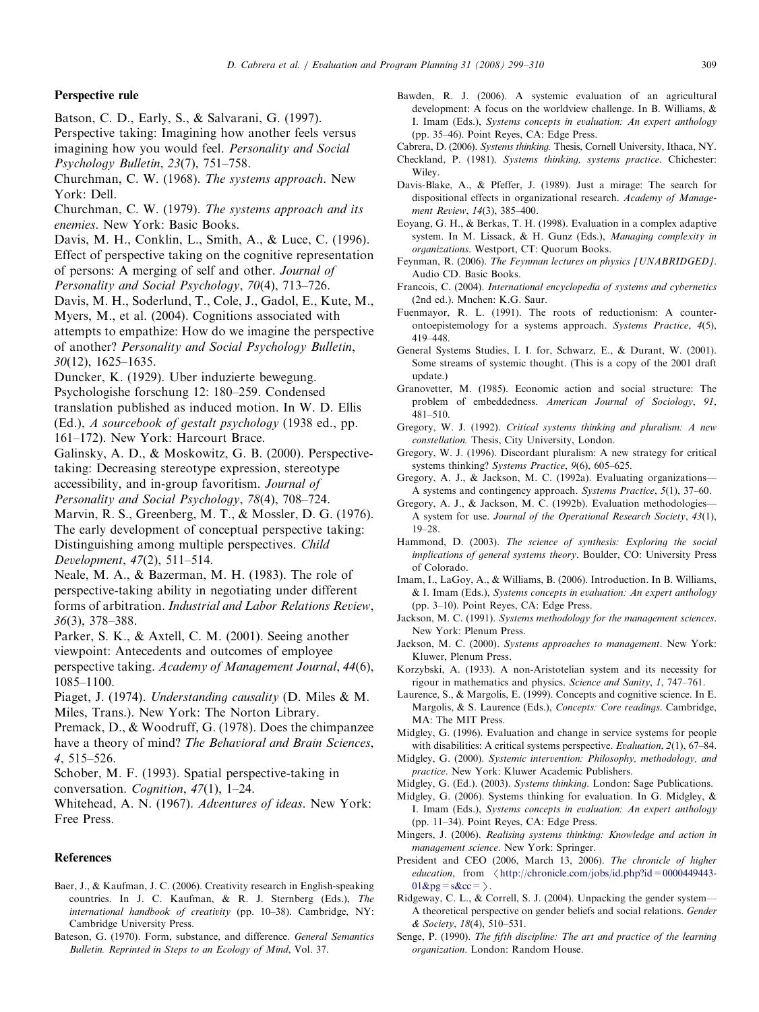### <span id="page-10-0"></span>Perspective rule

- Batson, C. D., Early, S., & Salvarani, G. (1997).
- Perspective taking: Imagining how another feels versus imagining how you would feel. Personality and Social Psychology Bulletin, 23(7), 751–758.

Churchman, C. W. (1968). The systems approach. New York: Dell.

- Churchman, C. W. (1979). The systems approach and its enemies. New York: Basic Books.
- Davis, M. H., Conklin, L., Smith, A., & Luce, C. (1996). Effect of perspective taking on the cognitive representation of persons: A merging of self and other. Journal of

Personality and Social Psychology, 70(4), 713–726.

Davis, M. H., Soderlund, T., Cole, J., Gadol, E., Kute, M., Myers, M., et al. (2004). Cognitions associated with attempts to empathize: How do we imagine the perspective of another? Personality and Social Psychology Bulletin, 30(12), 1625–1635.

Duncker, K. (1929). Uber induzierte bewegung.

Psychologishe forschung 12: 180–259. Condensed

translation published as induced motion. In W. D. Ellis

(Ed.), A sourcebook of gestalt psychology (1938 ed., pp. 161–172). New York: Harcourt Brace.

Galinsky, A. D., & Moskowitz, G. B. (2000). Perspectivetaking: Decreasing stereotype expression, stereotype accessibility, and in-group favoritism. Journal of Personality and Social Psychology, 78(4), 708–724.

Marvin, R. S., Greenberg, M. T., & Mossler, D. G. (1976). The early development of conceptual perspective taking: Distinguishing among multiple perspectives. Child Development, 47(2), 511–514.

Neale, M. A., & Bazerman, M. H. (1983). The role of perspective-taking ability in negotiating under different forms of arbitration. Industrial and Labor Relations Review, 36(3), 378–388.

Parker, S. K., & Axtell, C. M. (2001). Seeing another viewpoint: Antecedents and outcomes of employee perspective taking. Academy of Management Journal, 44(6), 1085–1100.

Piaget, J. (1974). Understanding causality (D. Miles & M. Miles, Trans.). New York: The Norton Library.

Premack, D., & Woodruff, G. (1978). Does the chimpanzee have a theory of mind? The Behavioral and Brain Sciences, 4, 515–526.

Schober, M. F. (1993). Spatial perspective-taking in

conversation. Cognition, 47(1), 1–24.

Whitehead, A. N. (1967). Adventures of ideas. New York: Free Press.

### References

- Baer, J., & Kaufman, J. C. (2006). Creativity research in English-speaking countries. In J. C. Kaufman, & R. J. Sternberg (Eds.), The international handbook of creativity (pp. 10–38). Cambridge, NY: Cambridge University Press.
- Bateson, G. (1970). Form, substance, and difference. General Semantics Bulletin. Reprinted in Steps to an Ecology of Mind, Vol. 37.
- Bawden, R. J. (2006). A systemic evaluation of an agricultural development: A focus on the worldview challenge. In B. Williams, & I. Imam (Eds.), Systems concepts in evaluation: An expert anthology (pp. 35–46). Point Reyes, CA: Edge Press.
- Cabrera, D. (2006). Systems thinking. Thesis, Cornell University, Ithaca, NY.
- Checkland, P. (1981). Systems thinking, systems practice. Chichester: Wiley.
- Davis-Blake, A., & Pfeffer, J. (1989). Just a mirage: The search for dispositional effects in organizational research. Academy of Management Review, 14(3), 385–400.
- Eoyang, G. H., & Berkas, T. H. (1998). Evaluation in a complex adaptive system. In M. Lissack, & H. Gunz (Eds.), Managing complexity in organizations. Westport, CT: Quorum Books.
- Feynman, R. (2006). The Feynman lectures on physics [UNABRIDGED]. Audio CD. Basic Books.
- Francois, C. (2004). International encyclopedia of systems and cybernetics (2nd ed.). Mnchen: K.G. Saur.
- Fuenmayor, R. L. (1991). The roots of reductionism: A counterontoepistemology for a systems approach. Systems Practice, 4(5), 419–448.
- General Systems Studies, I. I. for, Schwarz, E., & Durant, W. (2001). Some streams of systemic thought. (This is a copy of the 2001 draft update.)
- Granovetter, M. (1985). Economic action and social structure: The problem of embeddedness. American Journal of Sociology, 91, 481–510.
- Gregory, W. J. (1992). Critical systems thinking and pluralism: A new constellation. Thesis, City University, London.
- Gregory, W. J. (1996). Discordant pluralism: A new strategy for critical systems thinking? Systems Practice, 9(6), 605–625.
- Gregory, A. J., & Jackson, M. C. (1992a). Evaluating organizations— A systems and contingency approach. Systems Practice, 5(1), 37–60.
- Gregory, A. J., & Jackson, M. C. (1992b). Evaluation methodologies— A system for use. Journal of the Operational Research Society, 43(1), 19–28.
- Hammond, D. (2003). The science of synthesis: Exploring the social implications of general systems theory. Boulder, CO: University Press of Colorado.
- Imam, I., LaGoy, A., & Williams, B. (2006). Introduction. In B. Williams, & I. Imam (Eds.), Systems concepts in evaluation: An expert anthology (pp. 3–10). Point Reyes, CA: Edge Press.
- Jackson, M. C. (1991). Systems methodology for the management sciences. New York: Plenum Press.
- Jackson, M. C. (2000). Systems approaches to management. New York: Kluwer, Plenum Press.
- Korzybski, A. (1933). A non-Aristotelian system and its necessity for rigour in mathematics and physics. Science and Sanity, 1, 747–761.
- Laurence, S., & Margolis, E. (1999). Concepts and cognitive science. In E. Margolis, & S. Laurence (Eds.), Concepts: Core readings. Cambridge, MA: The MIT Press.

Midgley, G. (1996). Evaluation and change in service systems for people with disabilities: A critical systems perspective. *Evaluation*, 2(1), 67–84.

- Midgley, G. (2000). Systemic intervention: Philosophy, methodology, and practice. New York: Kluwer Academic Publishers.
- Midgley, G. (Ed.). (2003). Systems thinking. London: Sage Publications.
- Midgley, G. (2006). Systems thinking for evaluation. In G. Midgley, & I. Imam (Eds.), Systems concepts in evaluation: An expert anthology (pp. 11–34). Point Reyes, CA: Edge Press.
- Mingers, J. (2006). Realising systems thinking: Knowledge and action in management science. New York: Springer.
- President and CEO (2006, March 13, 2006). The chronicle of higher education, from  $\langle$  [http://chronicle.com/jobs/id.php?id=0000449443-](http://chronicle.com/jobs/id.php?id=0000449443-01&pg=s&cc=)  $01\&pg=s\&cc=\Sigma$  $01\&pg=s\&cc=\Sigma$ .
- Ridgeway, C. L., & Correll, S. J. (2004). Unpacking the gender system— A theoretical perspective on gender beliefs and social relations. Gender & Society, 18(4), 510–531.
- Senge, P. (1990). The fifth discipline: The art and practice of the learning organization. London: Random House.